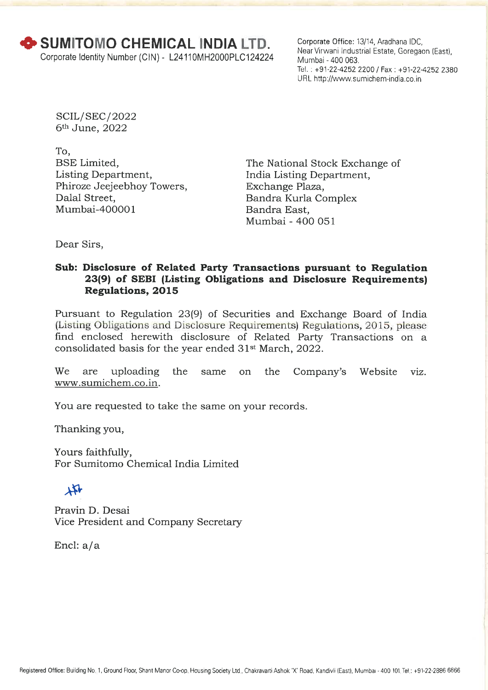Corporate Office: 13/14, Aradhana IDC, Near Virwani Industrial Estate, Goregaon (East), Mumbai - 400 063. Tel. : +91-22-4252 2200 / Fax : +91-22-4252 2380 URL http://www.sumichem-india.co.in

SCIL/ SEC/ 2022 6th June, 2022

To, BSE Limited, Listing Department, Phiroze Jeejeebhoy Towers, Dalal Street, Mumbai-400001

The National Stock Exchange of India Listing Department, Exchange Plaza, Bandra Kurla Complex Bandra East, Mumbai - 400 051

Dear Sirs,

## **Sub: Disclosure of Related Party Transactions pursuant to Regulation 23(9) of SEBI (Listing Obligations and Disclosure Requirements) Regulations, 2015**

Pursuant to Regulation 23(9) of Securities and Exchange Board of India (Listing Obligations and Disclosure Requirements) Regulations, 2015, please find enclosed herewith disclosure of Related Party Transactions on a consolidated basis for the year ended 31<sup>st</sup> March, 2022.

We are uploading the same on the Company's Website viz. www.sumichem.co.in.

You are requested to take the same on your records.

Thanking you,

Yours faithfully, For Sumitomo Chemical India Limited

# $\mathbf{r}$

Pravin D. Desai Vice President and Company Secretary

Encl: a/a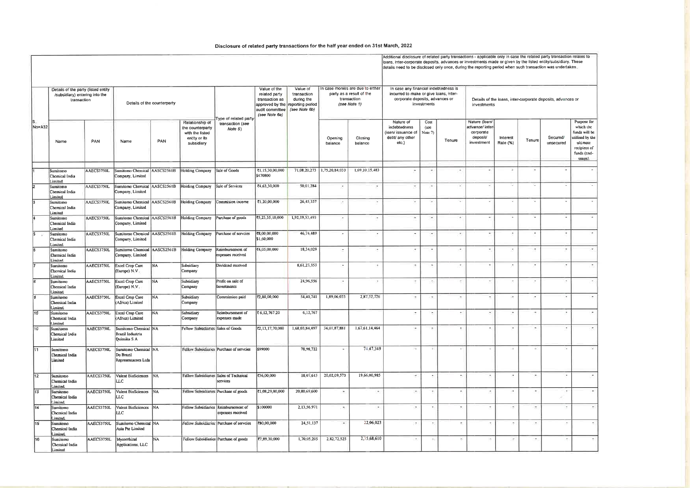#### Disclosure of related party transactions for the half year ended on 31st March, 2022

|              |                                                                                                                     |            |                                                                  |           |                                                                                       |                                                           |                                                                                     |                                                                                            |                                                                                             |                          | Additional disclosure of related party transactions - applicable only in case the related party transaction relates to<br>oans, inter-corporate deposits, advances or investments made or given by the listed entity/subsidiary. These<br>details need to be disclosed only once, during the reporting period when such transaction was undertaken, |                          |                          |                                                                            |                          |                          |                          |                                                                                                                        |  |
|--------------|---------------------------------------------------------------------------------------------------------------------|------------|------------------------------------------------------------------|-----------|---------------------------------------------------------------------------------------|-----------------------------------------------------------|-------------------------------------------------------------------------------------|--------------------------------------------------------------------------------------------|---------------------------------------------------------------------------------------------|--------------------------|-----------------------------------------------------------------------------------------------------------------------------------------------------------------------------------------------------------------------------------------------------------------------------------------------------------------------------------------------------|--------------------------|--------------------------|----------------------------------------------------------------------------|--------------------------|--------------------------|--------------------------|------------------------------------------------------------------------------------------------------------------------|--|
| S.<br>No+A32 | Details of the party (listed entity<br>/subsidiary) entering into the<br>transaction<br>Details of the counterparty |            |                                                                  |           |                                                                                       |                                                           | Value of the<br>related party<br>transaction as<br>audit committee<br>(see Note 6a) | Value of<br>transaction<br>during the<br>approved by the reporting period<br>(see Note 6b) | In case monies are due to either<br>party as a result of the<br>transaction<br>(see Note 1) |                          | In case any financial indebtedness is<br>incurred to make or give loans, inter-<br>corporate deposits, advances or<br>investments                                                                                                                                                                                                                   |                          |                          | Details of the loans, inter-corporate deposits, advances or<br>investments |                          |                          |                          |                                                                                                                        |  |
|              | Name                                                                                                                | PAN        | Name                                                             | PAN       | Relationship of<br>the counterparty<br>with the listed<br>entity or its<br>subsidiary | Type of related party<br>transaction (see<br>Note 5)      |                                                                                     |                                                                                            | Opening<br>balance                                                                          | Closing<br>balance       | Nature of<br>indebtedness<br>(loan/ issuance of<br>debt/ any other<br>etc.                                                                                                                                                                                                                                                                          | Cost<br>(see<br>Note 7)  | Tenure                   | Nature (Toan/<br>advance/ inter<br>corporate<br>deposit/<br>investment     | Interest<br>Rate (%)     | Tenure                   | Secured/<br>unsecured    | Purpose for<br>which the<br>funds will be<br>utilised by the<br>ultimate<br>recipient of<br>funds (end-<br>$rac{1}{2}$ |  |
|              | Sumitomo                                                                                                            | AAECS3750L | Sumitomo Chemical AASCS2561B                                     |           | Holding Company                                                                       | Sale of Goods                                             | ₹1,15,30,00,000                                                                     |                                                                                            | 71,08,20,273 1,75,20,84,033                                                                 | 1,69,10,15,483           | $\overline{\phantom{a}}$                                                                                                                                                                                                                                                                                                                            |                          | ×                        | ÷                                                                          | ÷                        | $\sim$                   | ÷                        | $\sim$                                                                                                                 |  |
|              | Chemical India<br>imited                                                                                            |            | Company, Limited                                                 |           |                                                                                       |                                                           | \$470800                                                                            |                                                                                            |                                                                                             |                          |                                                                                                                                                                                                                                                                                                                                                     |                          |                          |                                                                            |                          |                          |                          |                                                                                                                        |  |
|              | Sumitomo<br>Chemical India<br>imited                                                                                | AAECS3750L | Sumitomo Chemical AASCS2561B Holding Company<br>Company, Limited |           |                                                                                       | Sale of Services                                          | ₹4,63,30,000                                                                        | 50,01,284                                                                                  | $\overline{\phantom{a}}$                                                                    | $\sim$                   | ×                                                                                                                                                                                                                                                                                                                                                   | $\overline{a}$           | $\sim$                   | ×                                                                          | ×                        | ×.                       | $\overline{\phantom{a}}$ |                                                                                                                        |  |
|              | Sumitomo<br>Chemical India<br>Limited                                                                               | AAECS3750L | Sumitomo Chemical AASCS2561B Holding Company<br>Company, Limited |           |                                                                                       | Commision income                                          | ₹1,20,00,000                                                                        | 26, 45, 357                                                                                | $\overline{\phantom{a}}$                                                                    | ್                        | ٠                                                                                                                                                                                                                                                                                                                                                   | $\sim$                   | ×                        | ×,                                                                         | ٠                        | ×.                       | ÷                        | ×                                                                                                                      |  |
|              | Sumitomo<br>Chemical India                                                                                          | AAECS3750L | Sumitomo Chemical AASCS2561B Holding Company<br>Company, Limited |           |                                                                                       | Purchase of goods                                         | ₹5,23,35,10,000                                                                     | 1,92,19,53,493                                                                             | ×                                                                                           | $\overline{\phantom{a}}$ | $\sim$                                                                                                                                                                                                                                                                                                                                              | $\ddot{\phantom{1}}$     | $\hat{\phantom{a}}$      | ¥                                                                          | ÷                        | ×.                       | ×                        | ÷                                                                                                                      |  |
| 5            | imited<br>Sumitomo<br>Chemical India<br>imited                                                                      | AAECS3750L | Sumitomo Chemical AASCS2561B<br>Company, Limited                 |           | <b>Holding Company</b>                                                                | Purchase of serveies                                      | ₹8,00,00,000<br>\$1,60,000                                                          | 46,74,489                                                                                  | $\cdot$                                                                                     | ×                        | $\overline{\phantom{a}}$                                                                                                                                                                                                                                                                                                                            | ÷                        | $\star$                  | ¥                                                                          | ×                        | $\bullet$                | $\overline{\phantom{a}}$ | $\sim$                                                                                                                 |  |
|              | Sumitomo<br>Chemical India                                                                                          | AAECS3750L | Sumitomo Chemical AASCS2561B<br>Company, Limited                 |           | Holding Company                                                                       | Reimbursement of<br>expenses received                     | ₹4,05,00,000                                                                        | 18,34,029                                                                                  | ×                                                                                           | ×                        | $\overline{\phantom{a}}$                                                                                                                                                                                                                                                                                                                            |                          | $\overline{\phantom{a}}$ | $\overline{\phantom{a}}$                                                   | ×                        | $\alpha$                 | $\overline{\phantom{a}}$ | $\bullet$                                                                                                              |  |
|              | Limited<br>Sumitomo<br>Chemical India<br>Limited                                                                    | AAECS3750L | Excel Crop Care<br>(Europe) N.V.                                 | NA        | Subsidiary<br>Company                                                                 | Dividend received                                         |                                                                                     | 8,61,23,353                                                                                | ×.                                                                                          | ×                        | $\ddot{\phantom{1}}$                                                                                                                                                                                                                                                                                                                                |                          | $\overline{\phantom{a}}$ | $\overline{\phantom{a}}$                                                   | $\overline{\phantom{a}}$ | $\overline{\phantom{a}}$ | $\overline{\phantom{a}}$ | $\sigma_{\rm c}$                                                                                                       |  |
|              | Sumitomo<br>Chemical India<br>Limited                                                                               | AAECS3750L | Excel Crop Care<br>(Europe) N.V.                                 | NA        | Subsidiary<br>Company                                                                 | Profit on sale of<br>Investments                          |                                                                                     | 24,96,556                                                                                  | $\overline{\mathcal{C}}$                                                                    | ×                        | ÷                                                                                                                                                                                                                                                                                                                                                   |                          | $\sim$                   | $\overline{\phantom{a}}$                                                   | $\cdot$                  | $\cdot$                  | $\overline{\phantom{a}}$ | $\overline{\phantom{a}}$                                                                                               |  |
|              | Sumitomo<br>Chemical India<br>Limited                                                                               | AAECS3750L | <b>Excel Crop Care</b><br>(Africa) Limited                       | <b>NA</b> | Subsidiary<br>Company                                                                 | Commission paid                                           | ₹2,80,00,000                                                                        | 54,40,741                                                                                  | 1,89,06,033                                                                                 | 2,87,32,726              | ×                                                                                                                                                                                                                                                                                                                                                   | ×                        | ×                        | $\sim$                                                                     | $\overline{\phantom{a}}$ | $\epsilon$               | ×                        | ×.                                                                                                                     |  |
| 10           | Sumitomo<br>Chemical India<br>Limited                                                                               | AAECS3750L | Excel Crop Care<br>(Africa) Limited                              | <b>NA</b> | Subsidiary<br>Company                                                                 | Reimbursement of<br>expenses made                         | ₹6,12,767.20                                                                        | 6,12,767                                                                                   |                                                                                             |                          | $\overline{\phantom{a}}$                                                                                                                                                                                                                                                                                                                            | $\sim$                   | $\overline{\phantom{a}}$ | $\equiv$                                                                   | ٠                        | ٠                        | $\lambda$                | $\overline{\phantom{a}}$                                                                                               |  |
| 10           | Sumitomo<br>Chemical India<br>Limited                                                                               | AAECS3750L | Sumitomo Chemical NA<br>Brazil Industria<br>Quimika S A          |           | Fellow Subsidiaries Sales of Goods                                                    |                                                           | <b>乙,13,17,70,000</b>                                                               | 1,68,03,84,497                                                                             | 34,01,87,881                                                                                | 1,67,61,14,464           | $\overline{\phantom{a}}$                                                                                                                                                                                                                                                                                                                            | $\overline{\phantom{a}}$ | ×                        | $\overline{\phantom{a}}$                                                   | $\overline{\phantom{a}}$ | ٠                        | $\cdot$                  | $\overline{\phantom{a}}$                                                                                               |  |
| 11           | Sumitomo<br>Chemical India<br>Limited                                                                               | AAECS3750L | Sumitomo Chemical NA<br>Do Brazil<br>Representacoes Ltda         |           |                                                                                       | Fellow Subsidiaries Purchase of servcies                  | \$99000                                                                             | 78,98,722                                                                                  |                                                                                             | 74.47,349                | a                                                                                                                                                                                                                                                                                                                                                   | E.                       | ×                        | ٠                                                                          | ×                        | ÷                        | G                        |                                                                                                                        |  |
| 12           | Sumitomo<br>Chemical India<br>Limited                                                                               | AAECS3750L | Valent BioSciences NA<br>LС                                      |           |                                                                                       | Fellow Subsidiaries Sales of Technical<br>services        | ₹36,00,000                                                                          | 18,07,613                                                                                  | 20,02,09,573                                                                                | 19,66,00,985             | $\overline{\phantom{a}}$                                                                                                                                                                                                                                                                                                                            | ٠                        | ٠                        | $\overline{\phantom{a}}$                                                   | ×                        | $\overline{\phantom{a}}$ | $\overline{\phantom{a}}$ |                                                                                                                        |  |
| 13           | Sumitomo<br>Chemical India<br>Limited                                                                               |            | AAECS3750L Valent BioSciences NA<br>LLC                          |           |                                                                                       | Fellow Subsidiaries Purchase of goods                     | ₹1,08,29,00,000                                                                     | 20,80,69,600                                                                               | $\overline{\phantom{a}}$                                                                    | $\overline{\phantom{a}}$ | $\overline{a}$                                                                                                                                                                                                                                                                                                                                      | ÷                        |                          | $\overline{\phantom{a}}$                                                   | $\sim$                   | $\ddot{\phantom{0}}$     |                          |                                                                                                                        |  |
| 14           | Sumitomo<br>Chemical India<br>Limited                                                                               | AAECS3750L | Valent BioSciences NA<br>LLC.                                    |           |                                                                                       | Fellow Subsidiaries Reimbursement of<br>expenses received | \$100000                                                                            | 2,13,56,971                                                                                | $\ddot{\phantom{0}}$                                                                        | ×,                       | $\overline{\phantom{a}}$                                                                                                                                                                                                                                                                                                                            | $\overline{\phantom{a}}$ | $\overline{\phantom{a}}$ | $\overline{a}$                                                             | $\overline{\phantom{a}}$ | ÷                        | $\overline{\phantom{a}}$ | $\overline{\phantom{a}}$                                                                                               |  |
| 15           | Sumitomo<br>Chemical India<br>Limited                                                                               | AAECS3750L | Sumitomo Chemical NA<br>Asia Pte Limited                         |           |                                                                                       | Fellow Subsidiaries Purchase of serveies                  | 780,00,000                                                                          | 24,51,137                                                                                  | $\blacksquare$                                                                              | 22,06,023                | ÷.                                                                                                                                                                                                                                                                                                                                                  | $\overline{\phantom{a}}$ | $\overline{\phantom{a}}$ | $\bullet$                                                                  | $\sim$                   | $\bullet$                | $\sim$                   |                                                                                                                        |  |
| 16           | Sumitomo<br>Chemical India<br>Limited                                                                               | AAECS3750L | Mycorrhizal<br>Applications, LLC                                 | <b>NA</b> |                                                                                       | Fellow Subsidiaries Purchase of goods                     | ₹7,89,30,000                                                                        | 1,70,05,205                                                                                | 2.82.72.525                                                                                 | 2,35,68,610              | ٠.                                                                                                                                                                                                                                                                                                                                                  | ÷.                       | $\sim$                   | ÷                                                                          | $\overline{\phantom{a}}$ | ٠                        | $\tilde{\phantom{a}}$    |                                                                                                                        |  |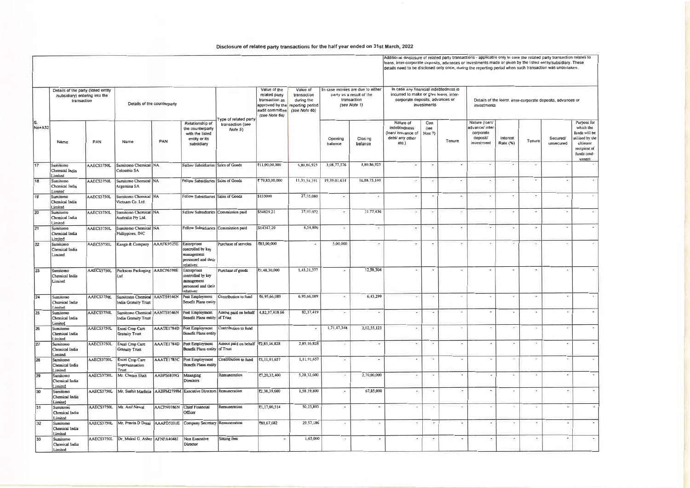## **Disclosure of related party transactions for the half year ended on 31st March, 2022**

Additional disclosure of related party transactions - applicable only in case the related party transaction relates to<br>Ioans, inter-corporate deposits, advances or investments made or given by the listed entity/subsidiary.

| S.<br>No+A32    | Details of the party (listed entity<br>/subsidiary) entering into the<br>transaction |            |                                                              | Details of the counterparty |                                                                                            |                                                              | Value of the<br>related party<br>transaction as<br>audit committee<br>(see Note 6a) | Value of<br>transaction<br>during the<br>approved by the reporting period<br>(see Note 6b) |                          | In case monies are due to either<br>party as a result of the<br>transaction<br>(see Note 1) | In case any financial indebtedness is<br>incurred to make or give loans, inter-<br>corporate deposits, advances or<br>investments |                         |                          | Details of the loans, inter-corporate deposits, advances or<br>investments |                          |                          |                          |                                                                                                                |  |  |
|-----------------|--------------------------------------------------------------------------------------|------------|--------------------------------------------------------------|-----------------------------|--------------------------------------------------------------------------------------------|--------------------------------------------------------------|-------------------------------------------------------------------------------------|--------------------------------------------------------------------------------------------|--------------------------|---------------------------------------------------------------------------------------------|-----------------------------------------------------------------------------------------------------------------------------------|-------------------------|--------------------------|----------------------------------------------------------------------------|--------------------------|--------------------------|--------------------------|----------------------------------------------------------------------------------------------------------------|--|--|
|                 | Name                                                                                 | PAN        | Name                                                         | PAN                         | Relationship of<br>the counterparty<br>with the listed<br>entity or its<br>subsidiary      | ype of related party<br>transaction (see<br>Note 5)          |                                                                                     |                                                                                            | Opening<br>balance       | Closing<br>balance                                                                          | Nature of<br>indebtedness<br>(loan/issuance of<br>debt/ any other<br>etc.                                                         | Cost<br>(see<br>Note 7) | Tenure                   | Nature (loan/<br>advance/ inter<br>corporate<br>deposil/<br>investment     | Interest<br>Rate (%)     | Tenure                   | Secured/<br>unsecured    | Purpose for<br>which the<br>funds will be<br>nilised by the<br>ultimate<br>recipient of<br>funds (cnd-<br>usc) |  |  |
| $\overline{17}$ | Sumitomo<br>Chemical India<br>Limited                                                | AAECS3750L | Sumitomo Chemical NA<br>Colombia SA                          |                             | Fellow Subsidiaries Sales of Goods                                                         |                                                              | 711,00,00,000                                                                       | 4,80,86,925                                                                                | 3,08,77,576              | 4,80,86,925                                                                                 | $\sim$                                                                                                                            |                         | $\mathbf{z}_i$           | $\sim$                                                                     | $\sim$                   | $\overline{\phantom{a}}$ | $\sim$                   | $\sim$                                                                                                         |  |  |
| 18              | Sumitomo<br>Chemical India<br>Limited                                                | AAECS3750L | Sumitomo Chemical NA<br>Argentina SA                         |                             | Fellow Subsidiaries Sales of Goods                                                         |                                                              | ₹79,83,00,000                                                                       | 11,33,54,391                                                                               | 19,39,01,634             | 16,88,73,140                                                                                | ×.                                                                                                                                |                         | $\overline{\phantom{a}}$ | $\overline{\phantom{a}}$                                                   |                          | ×                        | $\overline{\phantom{a}}$ |                                                                                                                |  |  |
| 19              | Sumitomo<br>Chemical India<br>Limited                                                | AAECS3750L | Sumitomo Chemical NA<br>Vietnam Co. Ltd.                     |                             | Fellow Subsidiaries Sales of Goods                                                         |                                                              | \$135000                                                                            | 27,55,080                                                                                  | ×                        | $\bullet$                                                                                   | $\bullet$                                                                                                                         |                         | $\overline{\phantom{a}}$ | $\blacksquare$                                                             | $\overline{\phantom{a}}$ | ×                        | ٠                        |                                                                                                                |  |  |
| 20              | Sumitomo<br>Chemical India<br>Limited                                                | AAECS3750L | Sumitomo Chemical NA<br>Australia Pty Ltd.                   |                             | Fellow Subsidiaries Commission paid                                                        |                                                              | \$54829.21                                                                          | 37,93,072                                                                                  | $\sim$                   | 21,77,436                                                                                   | $\overline{\phantom{a}}$                                                                                                          |                         | $\overline{\phantom{a}}$ | $\alpha$                                                                   | ÷                        | ×                        | ٠                        | ÷                                                                                                              |  |  |
| $\overline{21}$ | Sumitomo<br>Chemical India<br>Limited                                                | AAECS3750L | Sumitomo Chemical   NA<br>Philippines, INC                   |                             | Fellow Subsidiaries Commission paid                                                        |                                                              | \$14347.20                                                                          | 4,54,800                                                                                   | ٠                        | ×                                                                                           | $\sim$                                                                                                                            |                         | $\overline{\phantom{a}}$ | $\sim$                                                                     | $\sim$                   | $\overline{\phantom{a}}$ | $\overline{\phantom{a}}$ | $\omega$                                                                                                       |  |  |
| $\overline{22}$ | Sumitomo<br>Chemical India<br>Limited                                                | AAECS3750L | Kanga & Company                                              | AAAFK9525E Enterprises      | controlled by key<br>management<br>personnel and their<br>relatives:                       | Purchase of serveies                                         | ₹85,00,000                                                                          | i.                                                                                         | 5,00,000                 | $\overline{a}$                                                                              | ×                                                                                                                                 |                         | $\overline{\phantom{a}}$ | ×                                                                          | $\overline{\phantom{a}}$ | $\overline{\phantom{a}}$ | $\overline{\phantom{a}}$ |                                                                                                                |  |  |
| $\overline{23}$ | Sumitomo<br>Chemical India<br>Limited                                                | AAECS3750L | Parksons Packaging AABCP6598E<br>Ltd                         |                             | <b>Enterprises</b><br>controlled by key<br>management<br>personnel and their<br>relatives: | Purchase of goods                                            | ₹1,48,30,000                                                                        | 1,43,21,377                                                                                | $\sim$                   | 12,58,304                                                                                   | $\overline{a}$                                                                                                                    | $\sim$                  | $\sim$                   | $\sim$                                                                     | $\sim$                   | $\overline{\phantom{a}}$ | $\sim$                   |                                                                                                                |  |  |
| 24              | Sumitomo<br>Chemical India<br>Limited                                                | AAECS3750L | Sumitomo Chemical AANTS9346N<br>India Gratuity Trust         |                             | Post Employment<br><b>Benefit Plans entity</b>                                             | Contribution to fund                                         | ₹6,95,66,089                                                                        | 6,95,66,089                                                                                | $\sim$                   | 6,43,299                                                                                    | $\overline{\phantom{a}}$                                                                                                          |                         | $\overline{\phantom{a}}$ | ٠                                                                          | $\bullet$                | ٠                        |                          |                                                                                                                |  |  |
| 25              | Sumitomo<br>Chemical India<br>Limited                                                | AAECS3750L | Sumitomo Chemical AANTS9346N<br><b>India Gratuity Trust</b>  |                             | Post Employment<br>Benefit Plans entity of Trust                                           | Amout paid on behalf 4,82,37,418 66                          |                                                                                     | 82,37,419                                                                                  |                          | ٠                                                                                           |                                                                                                                                   |                         | Ξś,                      | $\sim$                                                                     |                          | ٠                        |                          |                                                                                                                |  |  |
| 26              | Sumitomo<br>Chemical India<br>imited                                                 | AAECS3750L | <b>Excel Crop Care</b><br><b>Gratuity Trust</b>              |                             | AAATE1784D Post Employment<br><b>Benefit Plans entity</b>                                  | Contribution to fund                                         |                                                                                     | $\overline{\phantom{a}}$                                                                   | 1,71,47,348              | 2,02,55,123                                                                                 | $\overline{\phantom{a}}$                                                                                                          |                         | ×.                       | ٠                                                                          | g.                       | ÷                        |                          | ×                                                                                                              |  |  |
| 27              | Sumitomo<br>Chemical India<br>imited                                                 | AAECS3750L | Excel Crop Care<br><b>Gratuity Trust</b>                     |                             | Benefit Plans entity of Trust                                                              | AAATE1784D Post Employment Amout paid on behalf 72,85,16,828 |                                                                                     | 2,85,16,828                                                                                | $\overline{\phantom{a}}$ | $\overline{\phantom{a}}$                                                                    | ٠                                                                                                                                 | Two control             | ۰.                       | $\sim$                                                                     | ÷.                       | ×                        |                          | ×                                                                                                              |  |  |
| $\overline{28}$ | Sumitomo<br>Chemical India<br>Limited                                                | AAECS3750L | Excel Crop Care<br>Superannuation<br>Trust                   |                             | AAATE1785C Post Employment<br><b>Benefit Plans entity</b>                                  | Contribution to fund                                         | र1,11,91,657                                                                        | 1,11,91,657                                                                                | $\bullet$                | $\overline{a}$                                                                              | $\overline{\phantom{a}}$                                                                                                          |                         | ×.                       | $\epsilon$                                                                 | Ξ                        | s                        |                          | ×                                                                                                              |  |  |
| 29              | Sumitomo<br>Chemical India<br>imited                                                 | AAECS3750L | Mr. Chetan Shah                                              | AABPS6839G                  | Managing<br><b>Directors</b>                                                               | Remuneration                                                 | ₹7,20,32,400                                                                        | 5,20 32,600                                                                                | $\epsilon$               | 2,70,00,000                                                                                 | $\overline{\phantom{a}}$                                                                                                          | ×                       | L.                       | i a                                                                        | ÷                        | ×                        |                          | ÷                                                                                                              |  |  |
| 30              | Sumitomo<br>Chemical India<br>Limited                                                | AAECS3750L | Mr. Sushil Marfatia                                          |                             | AABPM2799M Executive Directors Remuneration                                                |                                                              | (2,38,39,600)                                                                       | 1,58,19,800                                                                                | $\sigma$                 | 67,85,000                                                                                   | ÷                                                                                                                                 |                         | -                        | $\overline{\phantom{a}}$                                                   | ×                        | G.                       |                          | $\sim$                                                                                                         |  |  |
| 31              | Sumitomo<br>Chemical India<br>Limited                                                |            | AAECS3750L   Mr. Anil Nawal                                  |                             | AACPN0386N Chief Financial<br>Officer                                                      | Remuneration                                                 | ₹1,17,00,514                                                                        | 50,23,893                                                                                  | $\sim$                   | $\overline{\phantom{a}}$                                                                    | $\overline{a}$                                                                                                                    | $\bullet$               | $\overline{\phantom{a}}$ | $\sim$                                                                     | $\overline{\phantom{a}}$ | ÷.                       | $\overline{\phantom{a}}$ | ÷                                                                                                              |  |  |
| $\overline{32}$ | Sumitomo<br>Chemical India<br>Limited                                                | AAECS3750L | Mr. Pravin D Desai AAAPD5201E Company Secretary Remuneration |                             |                                                                                            |                                                              | ₹81,67,682                                                                          | 29,57,186                                                                                  | $\overline{\phantom{a}}$ | ×                                                                                           | $\overline{\phantom{a}}$                                                                                                          | $\overline{a}$          | $\overline{\phantom{a}}$ | $\overline{\phantom{a}}$                                                   | $\omega$                 | ٠                        | i.                       |                                                                                                                |  |  |
| 33              | Sumitomo<br>Chemical India<br>Limited                                                |            | AAECS3750L Dr. Mukul G Asher AFNPA4048J                      |                             | Non Executive<br>Director                                                                  | <b>Sitting fees</b>                                          | ÷.                                                                                  | 1,65,000                                                                                   | ٠                        | $\sim$                                                                                      | $\overline{\phantom{a}}$                                                                                                          | ۰                       |                          | $\overline{\phantom{a}}$                                                   | $\overline{\phantom{a}}$ | ٠                        |                          |                                                                                                                |  |  |